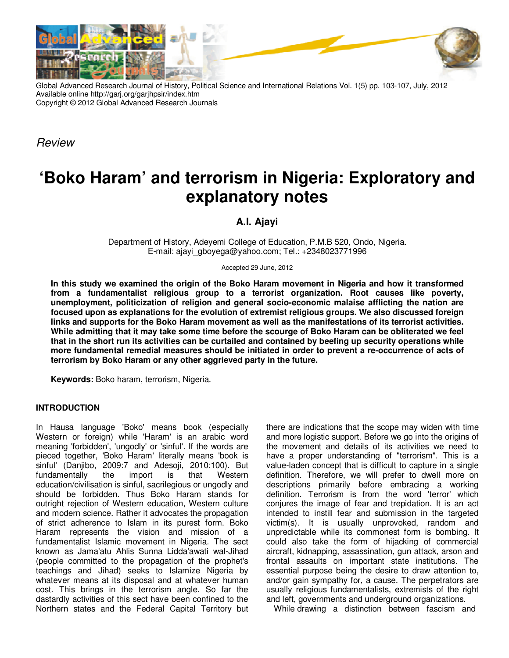

Global Advanced Research Journal of History, Political Science and International Relations Vol. 1(5) pp. 103-107, July, 2012 Available online http://garj.org/garjhpsir/index.htm Copyright © 2012 Global Advanced Research Journals

Review

# **'Boko Haram' and terrorism in Nigeria: Exploratory and explanatory notes**

**A.I. Ajayi** 

Department of History, Adeyemi College of Education, P.M.B 520, Ondo, Nigeria. E-mail: ajayi\_gboyega@yahoo.com; Tel.: +2348023771996

Accepted 29 June, 2012

**In this study we examined the origin of the Boko Haram movement in Nigeria and how it transformed from a fundamentalist religious group to a terrorist organization. Root causes like poverty, unemployment, politicization of religion and general socio-economic malaise afflicting the nation are focused upon as explanations for the evolution of extremist religious groups. We also discussed foreign links and supports for the Boko Haram movement as well as the manifestations of its terrorist activities. While admitting that it may take some time before the scourge of Boko Haram can be obliterated we feel that in the short run its activities can be curtailed and contained by beefing up security operations while more fundamental remedial measures should be initiated in order to prevent a re-occurrence of acts of terrorism by Boko Haram or any other aggrieved party in the future.** 

**Keywords:** Boko haram, terrorism, Nigeria.

### **INTRODUCTION**

In Hausa language 'Boko' means book (especially Western or foreign) while 'Haram' is an arabic word meaning 'forbidden', 'ungodly' or 'sinful'. If the words are pieced together, 'Boko Haram' literally means 'book is sinful' (Danjibo, 2009:7 and Adesoji, 2010:100). But fundamentally the import is that Western education/civilisation is sinful, sacrilegious or ungodly and should be forbidden. Thus Boko Haram stands for outright rejection of Western education, Western culture and modern science. Rather it advocates the propagation of strict adherence to Islam in its purest form. Boko Haram represents the vision and mission of a fundamentalist Islamic movement in Nigeria. The sect known as Jama'atu Ahlis Sunna Lidda'awati wal-Jihad (people committed to the propagation of the prophet's teachings and Jihad) seeks to Islamize Nigeria by whatever means at its disposal and at whatever human cost. This brings in the terrorism angle. So far the dastardly activities of this sect have been confined to the Northern states and the Federal Capital Territory but

there are indications that the scope may widen with time and more logistic support. Before we go into the origins of the movement and details of its activities we need to have a proper understanding of "terrorism". This is a value-laden concept that is difficult to capture in a single definition. Therefore, we will prefer to dwell more on descriptions primarily before embracing a working definition. Terrorism is from the word 'terror' which conjures the image of fear and trepidation. It is an act intended to instill fear and submission in the targeted victim(s). It is usually unprovoked, random and unpredictable while its commonest form is bombing. It could also take the form of hijacking of commercial aircraft, kidnapping, assassination, gun attack, arson and frontal assaults on important state institutions. The essential purpose being the desire to draw attention to, and/or gain sympathy for, a cause. The perpetrators are usually religious fundamentalists, extremists of the right and left, governments and underground organizations.

While drawing a distinction between fascism and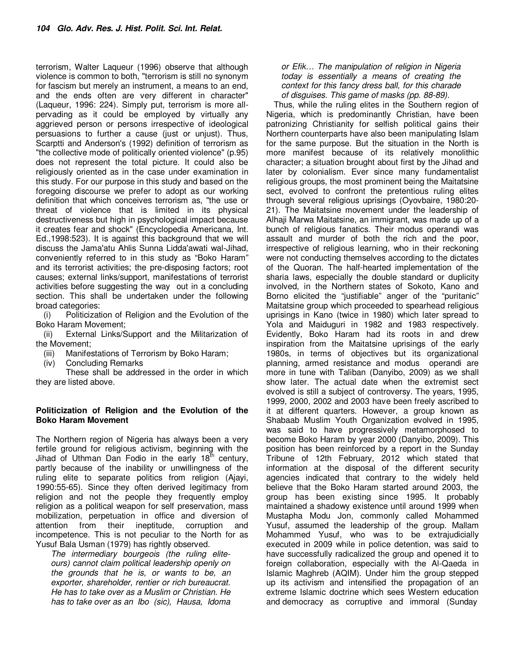terrorism, Walter Laqueur (1996) observe that although violence is common to both, "terrorism is still no synonym for fascism but merely an instrument, a means to an end, and the ends often are very different in character" (Laqueur, 1996: 224). Simply put, terrorism is more allpervading as it could be employed by virtually any aggrieved person or persons irrespective of ideological persuasions to further a cause (just or unjust). Thus, Scarptti and Anderson's (1992) definition of terrorism as "the collective mode of politically oriented violence" (p.95) does not represent the total picture. It could also be religiously oriented as in the case under examination in this study. For our purpose in this study and based on the foregoing discourse we prefer to adopt as our working definition that which conceives terrorism as, "the use or threat of violence that is limited in its physical destructiveness but high in psychological impact because it creates fear and shock" (Encyclopedia Americana, Int. Ed.,1998:523). It is against this background that we will discuss the Jama'atu Ahlis Sunna Lidda'awati wal-Jihad, conveniently referred to in this study as "Boko Haram" and its terrorist activities; the pre-disposing factors; root causes; external links/support, manifestations of terrorist activities before suggesting the way out in a concluding section. This shall be undertaken under the following broad categories:

(i) Politicization of Religion and the Evolution of the Boko Haram Movement;

(ii) External Links/Support and the Militarization of the Movement;

- (iii) Manifestations of Terrorism by Boko Haram;
- (iv) Concluding Remarks

 These shall be addressed in the order in which they are listed above.

### **Politicization of Religion and the Evolution of the Boko Haram Movement**

The Northern region of Nigeria has always been a very fertile ground for religious activism, beginning with the Jihad of Uthman Dan Fodio in the early  $18<sup>th</sup>$  century, partly because of the inability or unwillingness of the ruling elite to separate politics from religion (Ajayi, 1990:55-65). Since they often derived legitimacy from religion and not the people they frequently employ religion as a political weapon for self preservation, mass mobilization, perpetuation in office and diversion of attention from their ineptitude, corruption and incompetence. This is not peculiar to the North for as Yusuf Bala Usman (1979) has rightly observed.

The intermediary bourgeois (the ruling eliteours) cannot claim political leadership openly on the grounds that he is, or wants to be, an exporter, shareholder, rentier or rich bureaucrat. He has to take over as a Muslim or Christian. He has to take over as an Ibo (sic), Hausa, Idoma

### or Efik… The manipulation of religion in Nigeria today is essentially a means of creating the context for this fancy dress ball, for this charade of disguises. This game of masks (pp. 88-89).

Thus, while the ruling elites in the Southern region of Nigeria, which is predominantly Christian, have been patronizing Christianity for selfish political gains their Northern counterparts have also been manipulating Islam for the same purpose. But the situation in the North is more manifest because of its relatively monolithic character; a situation brought about first by the Jihad and later by colonialism. Ever since many fundamentalist religious groups, the most prominent being the Maitatsine sect, evolved to confront the pretentious ruling elites through several religious uprisings (Oyovbaire, 1980:20- 21). The Maitatsine movement under the leadership of Alhaji Marwa Maitatsine, an immigrant, was made up of a bunch of religious fanatics. Their modus operandi was assault and murder of both the rich and the poor, irrespective of religious learning, who in their reckoning were not conducting themselves according to the dictates of the Quoran. The half-hearted implementation of the sharia laws, especially the double standard or duplicity involved, in the Northern states of Sokoto, Kano and Borno elicited the "justifiable" anger of the "puritanic" Maitatsine group which proceeded to spearhead religious uprisings in Kano (twice in 1980) which later spread to Yola and Maiduguri in 1982 and 1983 respectively. Evidently, Boko Haram had its roots in and drew inspiration from the Maitatsine uprisings of the early 1980s, in terms of objectives but its organizational planning, armed resistance and modus operandi are more in tune with Taliban (Danyibo, 2009) as we shall show later. The actual date when the extremist sect evolved is still a subject of controversy. The years, 1995, 1999, 2000, 2002 and 2003 have been freely ascribed to it at different quarters. However, a group known as Shabaab Muslim Youth Organization evolved in 1995, was said to have progressively metamorphosed to become Boko Haram by year 2000 (Danyibo, 2009). This position has been reinforced by a report in the Sunday Tribune of 12th February, 2012 which stated that information at the disposal of the different security agencies indicated that contrary to the widely held believe that the Boko Haram started around 2003, the group has been existing since 1995. It probably maintained a shadowy existence until around 1999 when Mustapha Modu Jon, commonly called Mohammed Yusuf, assumed the leadership of the group. Mallam Mohammed Yusuf, who was to be extrajudicially executed in 2009 while in police detention, was said to have successfully radicalized the group and opened it to foreign collaboration, especially with the Al-Qaeda in Islamic Maghreb (AQIM). Under him the group stepped up its activism and intensified the propagation of an extreme Islamic doctrine which sees Western education and democracy as corruptive and immoral (Sunday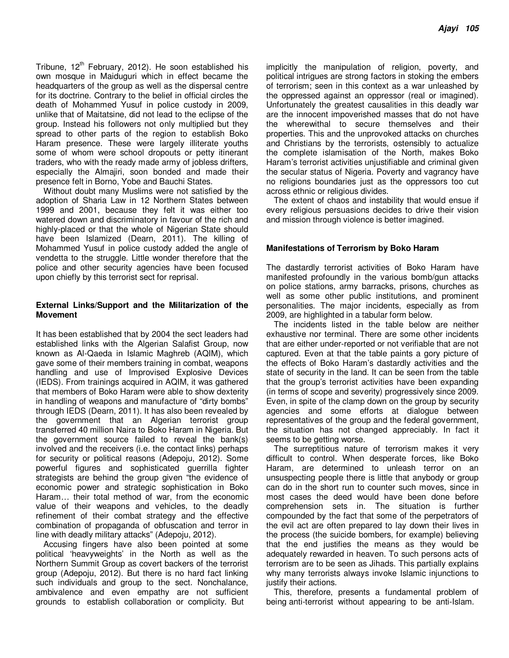Tribune,  $12<sup>th</sup>$  February, 2012). He soon established his own mosque in Maiduguri which in effect became the headquarters of the group as well as the dispersal centre for its doctrine. Contrary to the belief in official circles the death of Mohammed Yusuf in police custody in 2009, unlike that of Maitatsine, did not lead to the eclipse of the group. Instead his followers not only multiplied but they spread to other parts of the region to establish Boko Haram presence. These were largely illiterate youths some of whom were school dropouts or petty itinerant traders, who with the ready made army of jobless drifters, especially the Almajiri, soon bonded and made their presence felt in Borno, Yobe and Bauchi States.

Without doubt many Muslims were not satisfied by the adoption of Sharia Law in 12 Northern States between 1999 and 2001, because they felt it was either too watered down and discriminatory in favour of the rich and highly-placed or that the whole of Nigerian State should have been Islamized (Dearn, 2011). The killing of Mohammed Yusuf in police custody added the angle of vendetta to the struggle. Little wonder therefore that the police and other security agencies have been focused upon chiefly by this terrorist sect for reprisal.

### **External Links/Support and the Militarization of the Movement**

It has been established that by 2004 the sect leaders had established links with the Algerian Salafist Group, now known as Al-Qaeda in Islamic Maghreb (AQIM), which gave some of their members training in combat, weapons handling and use of Improvised Explosive Devices (IEDS). From trainings acquired in AQIM, it was gathered that members of Boko Haram were able to show dexterity in handling of weapons and manufacture of "dirty bombs" through IEDS (Dearn, 2011). It has also been revealed by the government that an Algerian terrorist group transferred 40 million Naira to Boko Haram in Nigeria. But the government source failed to reveal the bank(s) involved and the receivers (i.e. the contact links) perhaps for security or political reasons (Adepoju, 2012). Some powerful figures and sophisticated guerrilla fighter strategists are behind the group given "the evidence of economic power and strategic sophistication in Boko Haram… their total method of war, from the economic value of their weapons and vehicles, to the deadly refinement of their combat strategy and the effective combination of propaganda of obfuscation and terror in line with deadly military attacks" (Adepoju, 2012).

Accusing fingers have also been pointed at some political 'heavyweights' in the North as well as the Northern Summit Group as covert backers of the terrorist group (Adepoju, 2012). But there is no hard fact linking such individuals and group to the sect. Nonchalance, ambivalence and even empathy are not sufficient grounds to establish collaboration or complicity. But

implicitly the manipulation of religion, poverty, and political intrigues are strong factors in stoking the embers of terrorism; seen in this context as a war unleashed by the oppressed against an oppressor (real or imagined). Unfortunately the greatest causalities in this deadly war are the innocent impoverished masses that do not have the wherewithal to secure themselves and their properties. This and the unprovoked attacks on churches and Christians by the terrorists, ostensibly to actualize the complete islamisation of the North, makes Boko Haram's terrorist activities unjustifiable and criminal given the secular status of Nigeria. Poverty and vagrancy have no religions boundaries just as the oppressors too cut across ethnic or religious divides.

The extent of chaos and instability that would ensue if every religious persuasions decides to drive their vision and mission through violence is better imagined.

## **Manifestations of Terrorism by Boko Haram**

The dastardly terrorist activities of Boko Haram have manifested profoundly in the various bomb/gun attacks on police stations, army barracks, prisons, churches as well as some other public institutions, and prominent personalities. The major incidents, especially as from 2009, are highlighted in a tabular form below.

The incidents listed in the table below are neither exhaustive nor terminal. There are some other incidents that are either under-reported or not verifiable that are not captured. Even at that the table paints a gory picture of the effects of Boko Haram's dastardly activities and the state of security in the land. It can be seen from the table that the group's terrorist activities have been expanding (in terms of scope and severity) progressively since 2009. Even, in spite of the clamp down on the group by security agencies and some efforts at dialogue between representatives of the group and the federal government, the situation has not changed appreciably. In fact it seems to be getting worse.

The surreptitious nature of terrorism makes it very difficult to control. When desperate forces, like Boko Haram, are determined to unleash terror on an unsuspecting people there is little that anybody or group can do in the short run to counter such moves, since in most cases the deed would have been done before comprehension sets in. The situation is further compounded by the fact that some of the perpetrators of the evil act are often prepared to lay down their lives in the process (the suicide bombers, for example) believing that the end justifies the means as they would be adequately rewarded in heaven. To such persons acts of terrorism are to be seen as Jihads. This partially explains why many terrorists always invoke Islamic injunctions to justify their actions.

This, therefore, presents a fundamental problem of being anti-terrorist without appearing to be anti-Islam.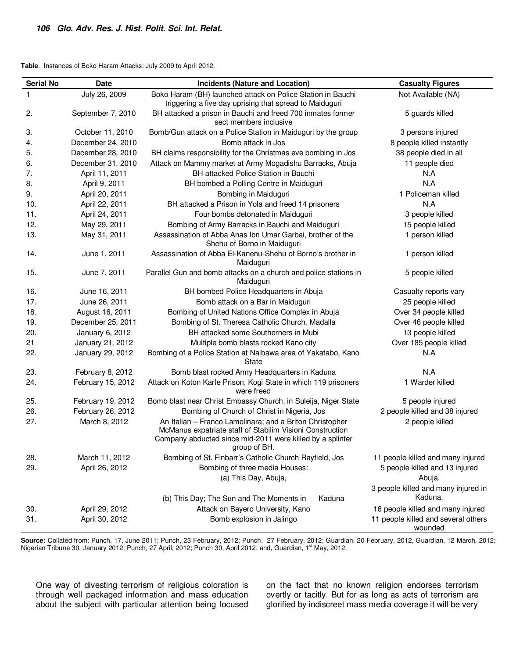**Table**. Instances of Boko Haram Attacks: July 2009 to April 2012.

| <b>Serial No</b> | <b>Date</b>       | <b>Incidents (Nature and Location)</b>                                                                                                                                                             | <b>Casualty Figures</b>                        |
|------------------|-------------------|----------------------------------------------------------------------------------------------------------------------------------------------------------------------------------------------------|------------------------------------------------|
| 1                | July 26, 2009     | Boko Haram (BH) launched attack on Police Station in Bauchi                                                                                                                                        | Not Available (NA)                             |
|                  |                   | triggering a five day uprising that spread to Maiduguri                                                                                                                                            |                                                |
| 2.               | September 7, 2010 | BH attacked a prison in Bauchi and freed 700 inmates former<br>sect members inclusive                                                                                                              | 5 guards killed                                |
| 3.               | October 11, 2010  | Bomb/Gun attack on a Police Station in Maiduguri by the group                                                                                                                                      | 3 persons injured                              |
| 4.               | December 24, 2010 | Bomb attack in Jos                                                                                                                                                                                 | 8 people killed instantly                      |
| 5.               | December 28, 2010 | BH claims responsibility for the Christmas eve bombing in Jos                                                                                                                                      | 38 people died in all                          |
| 6.               | December 31, 2010 | Attack on Mammy market at Army Mogadishu Barracks, Abuja                                                                                                                                           | 11 people died                                 |
| 7.               | April 11, 2011    | BH attacked Police Station in Bauchi                                                                                                                                                               | N.A                                            |
| 8.               | April 9, 2011     | BH bombed a Polling Centre in Maiduguri                                                                                                                                                            | N.A                                            |
| 9.               | April 20, 2011    | Bombing in Maiduguri                                                                                                                                                                               | 1 Policeman killed                             |
| 10.              | April 22, 2011    | BH attacked a Prison in Yola and freed 14 prisoners                                                                                                                                                | N.A                                            |
| 11.              | April 24, 2011    | Four bombs detonated in Maiduguri                                                                                                                                                                  | 3 people killed                                |
| 12.              | May 29, 2011      | Bombing of Army Barracks in Bauchi and Maiduguri                                                                                                                                                   | 15 people killed                               |
| 13.              | May 31, 2011      | Assassination of Abba Anas Ibn Umar Garbai, brother of the<br>Shehu of Borno in Maiduguri                                                                                                          | 1 person killed                                |
| 14.              | June 1, 2011      | Assassination of Abba El-Kanenu-Shehu of Borno's brother in<br>Maiduguri                                                                                                                           | 1 person killed                                |
| 15.              | June 7, 2011      | Parallel Gun and bomb attacks on a church and police stations in<br>Maiduguri                                                                                                                      | 5 people killed                                |
| 16.              | June 16, 2011     | BH bombed Police Headquarters in Abuja                                                                                                                                                             | Casualty reports vary                          |
| 17.              | June 26, 2011     | Bomb attack on a Bar in Maiduguri                                                                                                                                                                  | 25 people killed                               |
| 18.              | August 16, 2011   | Bombing of United Nations Office Complex in Abuja                                                                                                                                                  | Over 34 people killed                          |
| 19.              | December 25, 2011 | Bombing of St. Theresa Catholic Church, Madalla                                                                                                                                                    | Over 46 people killed                          |
| 20.              | January 6, 2012   | BH attacked some Southerners in Mubi                                                                                                                                                               | 13 people killed                               |
| 21               | January 21, 2012  | Multiple bomb blasts rocked Kano city                                                                                                                                                              | Over 185 people killed                         |
| 22.              | January 29, 2012  | Bombing of a Police Station at Naibawa area of Yakatabo, Kano<br><b>State</b>                                                                                                                      | N.A                                            |
| 23.              | February 8, 2012  | Bomb blast rocked Army Headquarters in Kaduna                                                                                                                                                      | N.A                                            |
| 24.              | February 15, 2012 | Attack on Koton Karfe Prison, Kogi State in which 119 prisoners<br>were freed                                                                                                                      | 1 Warder killed                                |
| 25.              | February 19, 2012 | Bomb blast near Christ Embassy Church, in Suleija, Niger State                                                                                                                                     | 5 people injured                               |
| 26.              | February 26, 2012 | Bombing of Church of Christ in Nigeria, Jos                                                                                                                                                        | 2 people killed and 38 injured                 |
| 27.              | March 8, 2012     | An Italian - Franco Lamolinara; and a Briton Christopher<br>McManus expatriate staff of Stabilim Visioni Construction<br>Company abducted since mid-2011 were killed by a splinter<br>group of BH. | 2 people killed                                |
| 28.              | March 11, 2012    | Bombing of St. Finbarr's Catholic Church Rayfield, Jos                                                                                                                                             | 11 people killed and many injured              |
| 29.              | April 26, 2012    | Bombing of three media Houses:                                                                                                                                                                     | 5 people killed and 13 injured                 |
|                  |                   | (a) This Day, Abuja,                                                                                                                                                                               | Abuja.                                         |
|                  |                   |                                                                                                                                                                                                    | 3 people killed and many injured in            |
|                  |                   | (b) This Day; The Sun and The Moments in<br>Kaduna                                                                                                                                                 | Kaduna.                                        |
| 30.              | April 29, 2012    | Attack on Bayero University, Kano                                                                                                                                                                  | 16 people killed and many injured              |
| 31.              | April 30, 2012    | Bomb explosion in Jalingo                                                                                                                                                                          | 11 people killed and several others<br>wounded |

**Source:** Collated from: Punch, 17, June 2011; Punch, 23 February, 2012; Punch, 27 February, 2012; Guardian, 20 February, 2012, Guardian, 12 March, 2012; Nigerian Tribune 30, January 2012; Punch, 27 April, 2012; Punch 30, April 2012; and, Guardian, 1<sup>st</sup> May, 2012.

One way of divesting terrorism of religious coloration is through well packaged information and mass education about the subject with particular attention being focused on the fact that no known religion endorses terrorism overtly or tacitly. But for as long as acts of terrorism are glorified by indiscreet mass media coverage it will be very